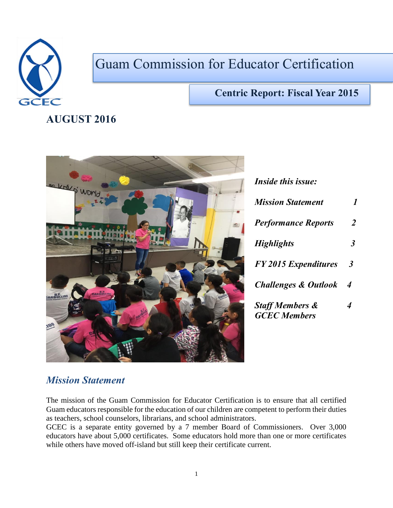

# Guam Commission for Educator Certification

#### **Centric Report: Fiscal Year 2015**

# **AUGUST 2016**



| <i>Inside this issue:</i>                         |                      |
|---------------------------------------------------|----------------------|
| <b>Mission Statement</b>                          | 1                    |
| <b>Performance Reports</b>                        | $\overline{2}$       |
| <b>Highlights</b>                                 | 3                    |
| <b>FY 2015 Expenditures</b>                       | $\boldsymbol{\beta}$ |
| <b>Challenges &amp; Outlook</b>                   | 4                    |
| <b>Staff Members &amp;</b><br><b>GCEC</b> Members | 4                    |

#### *Mission Statement*

The mission of the Guam Commission for Educator Certification is to ensure that all certified Guam educators responsible for the education of our children are competent to perform their duties as teachers, school counselors, librarians, and school administrators.

GCEC is a separate entity governed by a 7 member Board of Commissioners. Over 3,000 educators have about 5,000 certificates. Some educators hold more than one or more certificates while others have moved off-island but still keep their certificate current.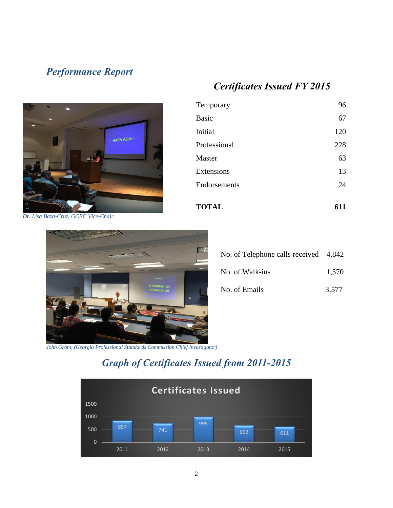# *Performance Report*

# *Certificates Issued FY 2015*

Temporary 96

Basic 67 Initial 120

Professional 228

Master 63

Extensions 13 Endorsements 24

**TOTAL 611**



*Dr. Lisa Baza-Cruz, GCEC Vice-Chair*



| No. of Telephone calls received 4,842 |       |
|---------------------------------------|-------|
| No. of Walk-ins                       | 1,570 |
| No. of Emails                         | 3,577 |

*John Grant, (Georgia Professional Standards Commission Chief Investigator)*

# *Graph of Certificates Issued from 2011-2015*

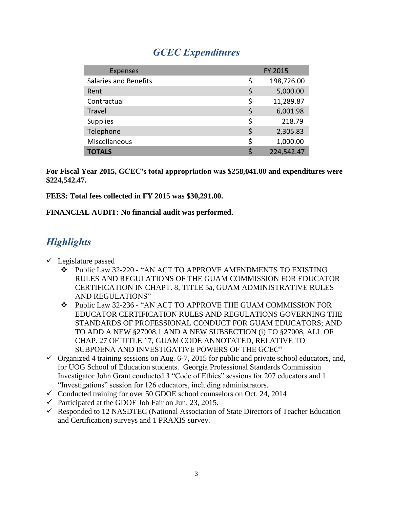## *GCEC Expenditures*

| <b>Expenses</b>              | FY 2015          |  |
|------------------------------|------------------|--|
| <b>Salaries and Benefits</b> | \$<br>198,726.00 |  |
| Rent                         | \$<br>5,000.00   |  |
| Contractual                  | \$<br>11,289.87  |  |
| Travel                       | \$<br>6,001.98   |  |
| <b>Supplies</b>              | \$<br>218.79     |  |
| Telephone                    | \$<br>2,305.83   |  |
| Miscellaneous                | \$<br>1,000.00   |  |
| <b>TOTALS</b>                | 224,542.47       |  |

**For Fiscal Year 2015, GCEC's total appropriation was \$258,041.00 and expenditures were \$224,542.47.**

**FEES: Total fees collected in FY 2015 was \$30,291.00.**

**FINANCIAL AUDIT: No financial audit was performed.**

# *Highlights*

- $\checkmark$  Legislature passed
	- Public Law 32-220 "AN ACT TO APPROVE AMENDMENTS TO EXISTING RULES AND REGULATIONS OF THE GUAM COMMISSION FOR EDUCATOR CERTIFICATION IN CHAPT. 8, TITLE 5a, GUAM ADMINISTRATIVE RULES AND REGULATIONS"
	- Public Law 32-236 "AN ACT TO APPROVE THE GUAM COMMISSION FOR EDUCATOR CERTIFICATION RULES AND REGULATIONS GOVERNING THE STANDARDS OF PROFESSIONAL CONDUCT FOR GUAM EDUCATORS; AND TO ADD A NEW §27008.1 AND A NEW SUBSECTION (i) TO §27008, ALL OF CHAP. 27 OF TITLE 17, GUAM CODE ANNOTATED, RELATIVE TO SUBPOENA AND INVESTIGATIVE POWERS OF THE GCEC"
- $\checkmark$  Organized 4 training sessions on Aug. 6-7, 2015 for public and private school educators, and, for UOG School of Education students. Georgia Professional Standards Commission Investigator John Grant conducted 3 "Code of Ethics" sessions for 207 educators and 1 "Investigations" session for 126 educators, including administrators.
- $\checkmark$  Conducted training for over 50 GDOE school counselors on Oct. 24, 2014
- $\checkmark$  Participated at the GDOE Job Fair on Jun. 23, 2015.
- $\checkmark$  Responded to 12 NASDTEC (National Association of State Directors of Teacher Education and Certification) surveys and 1 PRAXIS survey.